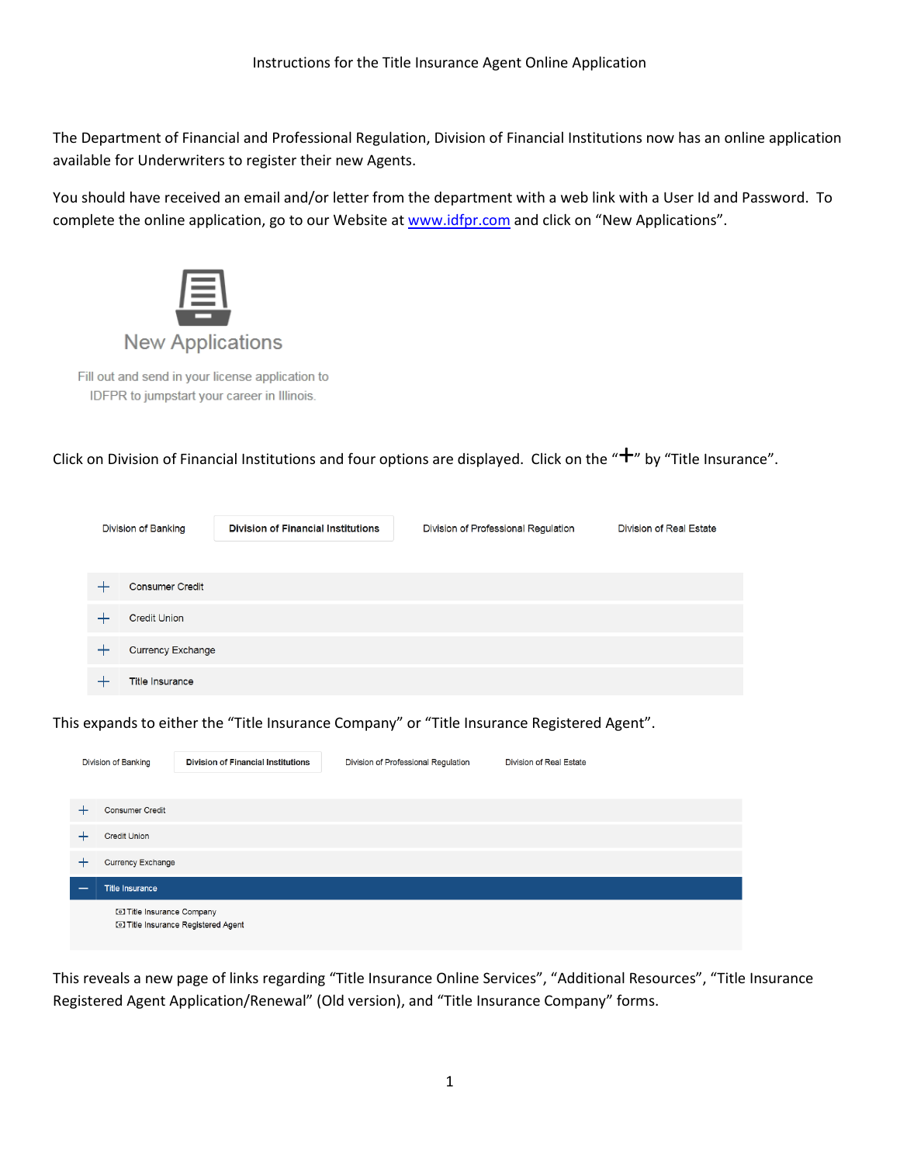The Department of Financial and Professional Regulation, Division of Financial Institutions now has an online application available for Underwriters to register their new Agents.

You should have received an email and/or letter from the department with a web link with a User Id and Password. To complete the online application, go to our Website at www.idfpr.com and click on "New Applications".



Fill out and send in your license application to IDFPR to jumpstart your career in Illinois.

Click on Division of Financial Institutions and four options are displayed. Click on the " $+$ " by "Title Insurance".

| Division of Banking |                          | <b>Division of Financial Institutions</b> | Division of Professional Regulation | Division of Real Estate |
|---------------------|--------------------------|-------------------------------------------|-------------------------------------|-------------------------|
|                     |                          |                                           |                                     |                         |
|                     | <b>Consumer Credit</b>   |                                           |                                     |                         |
|                     | <b>Credit Union</b>      |                                           |                                     |                         |
|                     | <b>Currency Exchange</b> |                                           |                                     |                         |
|                     | <b>Title Insurance</b>   |                                           |                                     |                         |

This expands to either the "Title Insurance Company" or "Title Insurance Registered Agent".

|                          | Division of Banking              | <b>Division of Financial Institutions</b> | Division of Professional Regulation | Division of Real Estate |  |
|--------------------------|----------------------------------|-------------------------------------------|-------------------------------------|-------------------------|--|
|                          |                                  |                                           |                                     |                         |  |
| —⊢                       | <b>Consumer Credit</b>           |                                           |                                     |                         |  |
|                          | <b>Credit Union</b>              |                                           |                                     |                         |  |
|                          | Currency Exchange                |                                           |                                     |                         |  |
| $\overline{\phantom{a}}$ | <b>Title Insurance</b>           |                                           |                                     |                         |  |
|                          | <b>D</b> Title Insurance Company | <b>D</b> Title Insurance Registered Agent |                                     |                         |  |

This reveals a new page of links regarding "Title Insurance Online Services", "Additional Resources", "Title Insurance Registered Agent Application/Renewal" (Old version), and "Title Insurance Company" forms.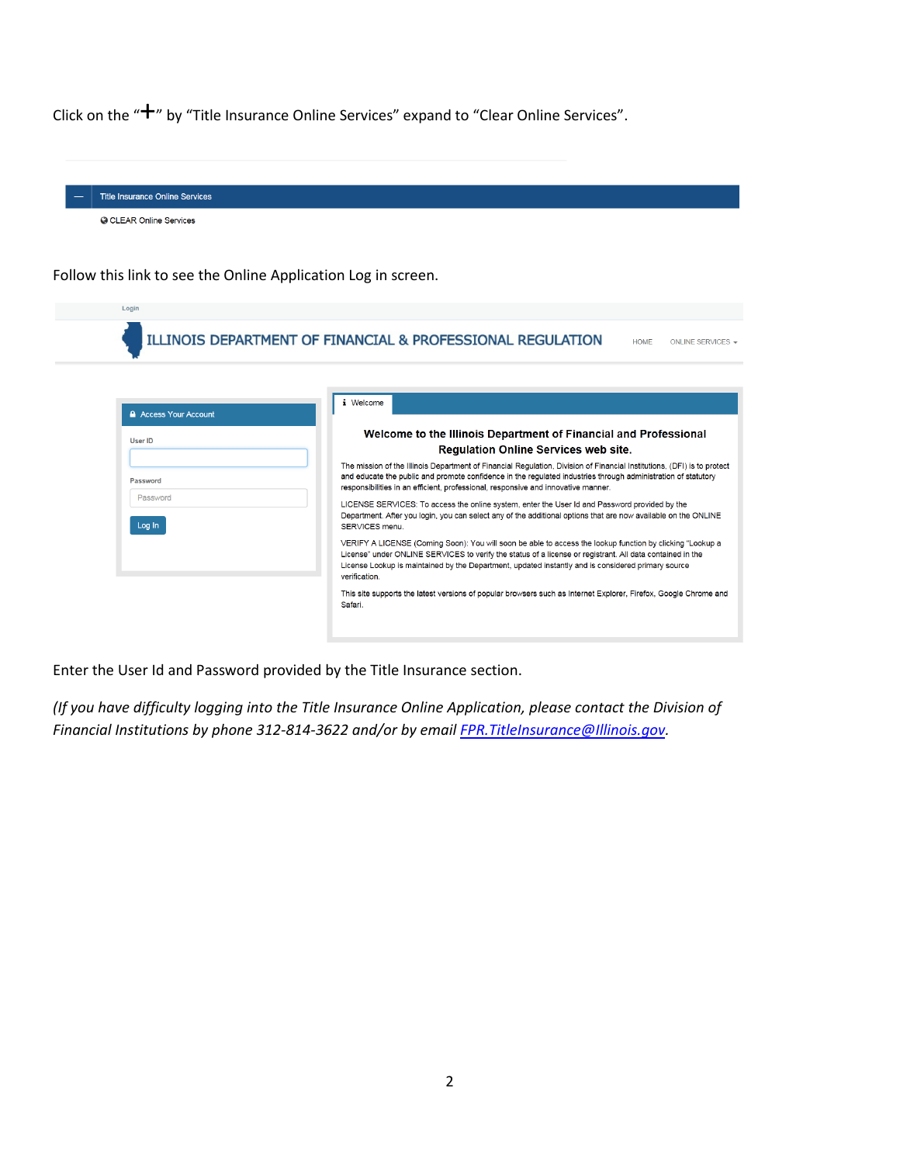Click on the " $+$ " by "Title Insurance Online Services" expand to "Clear Online Services".

| <b>Title Insurance Online Services</b>                        |                                                                                                                                                                                                                                                                                                                                               |
|---------------------------------------------------------------|-----------------------------------------------------------------------------------------------------------------------------------------------------------------------------------------------------------------------------------------------------------------------------------------------------------------------------------------------|
| <b>G CLEAR Online Services</b>                                |                                                                                                                                                                                                                                                                                                                                               |
|                                                               |                                                                                                                                                                                                                                                                                                                                               |
| Follow this link to see the Online Application Log in screen. |                                                                                                                                                                                                                                                                                                                                               |
| Login                                                         |                                                                                                                                                                                                                                                                                                                                               |
|                                                               | ILLINOIS DEPARTMENT OF FINANCIAL & PROFESSIONAL REGULATION<br><b>HOME</b><br>ONLINE SERVICES -                                                                                                                                                                                                                                                |
|                                                               |                                                                                                                                                                                                                                                                                                                                               |
| A Access Your Account                                         | i Welcome                                                                                                                                                                                                                                                                                                                                     |
| <b>User ID</b>                                                | Welcome to the Illinois Department of Financial and Professional<br>Regulation Online Services web site.                                                                                                                                                                                                                                      |
| Password                                                      | The mission of the Illinois Department of Financial Regulation, Division of Financial Institutions, (DFI) is to protect<br>and educate the public and promote confidence in the regulated industries through administration of statutory<br>responsibilities in an efficient, professional, responsive and innovative manner.                 |
| Password<br>Log In                                            | LICENSE SERVICES: To access the online system, enter the User Id and Password provided by the<br>Department. After you login, you can select any of the additional options that are now available on the ONLINE<br>SERVICES menu.                                                                                                             |
|                                                               | VERIFY A LICENSE (Coming Soon): You will soon be able to access the lookup function by clicking "Lookup a<br>License" under ONLINE SERVICES to verify the status of a license or registrant. All data contained in the<br>License Lookup is maintained by the Department, updated instantly and is considered primary source<br>verification. |
|                                                               | This site supports the latest versions of popular browsers such as Internet Explorer, Firefox, Google Chrome and<br>Safari.                                                                                                                                                                                                                   |
|                                                               |                                                                                                                                                                                                                                                                                                                                               |

Enter the User Id and Password provided by the Title Insurance section.

(If you have difficulty logging into the Title Insurance Online Application, please contact the Division of Financial Institutions by phone 312-814-3622 and/or by email FPR. TitleInsurance@Illinois.gov.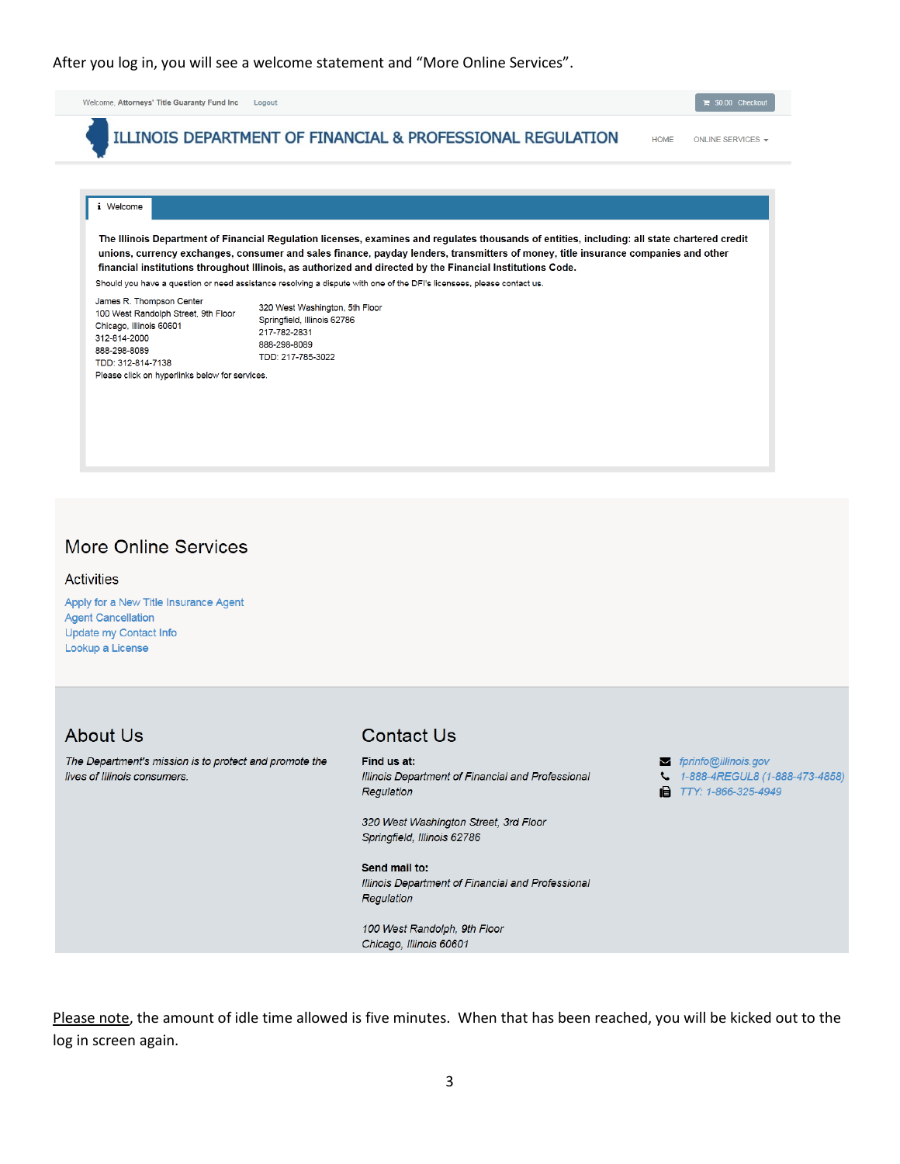#### After you log in, you will see a welcome statement and "More Online Services".

Welcome, Attorneys' Title Guaranty Fund Inc Logout ILLINOIS DEPARTMENT OF FINANCIAL & PROFESSIONAL REGULATION HOME ONLINE SERVICES i Welcome The Illinois Department of Financial Regulation licenses, examines and regulates thousands of entities, including: all state chartered credit unions, currency exchanges, consumer and sales finance, payday lenders, transmitters of money, title insurance companies and other financial institutions throughout Illinois, as authorized and directed by the Financial Institutions Code. Should you have a question or need assistance resolving a dispute with one of the DFI's licensees, please contact us. James R. Thompson Center 320 West Washington, 5th Floor 100 West Randolph Street, 9th Floor Springfield, Illinois 62786 Chicago, Illinois 60601 217-782-2831 312-814-2000 888-298-8089 888-298-8089 TDD: 217-785-3022 TDD: 312-814-7138 Please click on hyperlinks below for services.

#### **More Online Services**

#### **Activities**

Apply for a New Title Insurance Agent **Agent Cancellation** Update my Contact Info Lookup a License

## **About Us**

The Department's mission is to protect and promote the lives of Illinois consumers.

## **Contact Us**

Find us at: Illinois Department of Financial and Professional Regulation

320 West Washington Street, 3rd Floor Springfield, Illinois 62786

Send mail to: Illinois Department of Financial and Professional Regulation

100 West Randolph, 9th Floor Chicago, Illinois 60601

fprinfo@illinois.gov

- 4. 1-888-4REGUL8 (1-888-473-4858)
- TTY: 1-866-325-4949

Please note, the amount of idle time allowed is five minutes. When that has been reached, you will be kicked out to the log in screen again.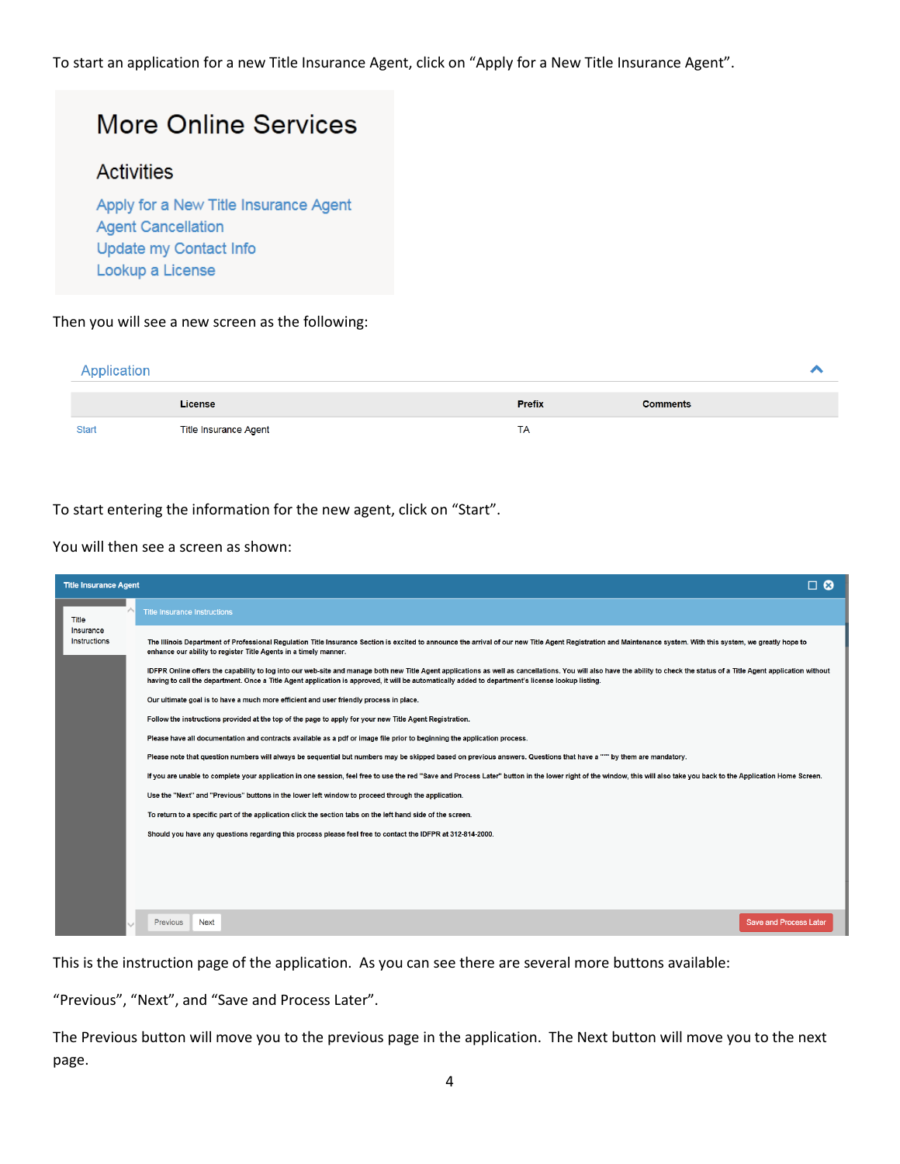To start an application for a new Title Insurance Agent, click on "Apply for a New Title Insurance Agent".

# **More Online Services**

## **Activities**

Apply for a New Title Insurance Agent **Agent Cancellation** Update my Contact Info Lookup a License

#### Then you will see a new screen as the following:

| Application  |                       |               |                 |  |
|--------------|-----------------------|---------------|-----------------|--|
|              | License               | <b>Prefix</b> | <b>Comments</b> |  |
| <b>Start</b> | Title Insurance Agent | TA            |                 |  |

To start entering the information for the new agent, click on "Start".

#### You will then see a screen as shown:

| <b>Title Insurance Agent</b> | $\Box$ $\odot$                                                                                                                                                                                                                                                                                                                                                                                                                                                                                                                                                                                                                                                                                                                                                                                                                                                                                                                                                                                                                                                                                                                                                               |
|------------------------------|------------------------------------------------------------------------------------------------------------------------------------------------------------------------------------------------------------------------------------------------------------------------------------------------------------------------------------------------------------------------------------------------------------------------------------------------------------------------------------------------------------------------------------------------------------------------------------------------------------------------------------------------------------------------------------------------------------------------------------------------------------------------------------------------------------------------------------------------------------------------------------------------------------------------------------------------------------------------------------------------------------------------------------------------------------------------------------------------------------------------------------------------------------------------------|
| Title                        | <b>Title Insurance Instructions</b>                                                                                                                                                                                                                                                                                                                                                                                                                                                                                                                                                                                                                                                                                                                                                                                                                                                                                                                                                                                                                                                                                                                                          |
| Insurance<br>Instructions    | The Illinois Department of Professional Regulation Title Insurance Section is excited to announce the arrival of our new Title Agent Registration and Maintenance system. With this system, we greatly hope to<br>enhance our ability to register Title Agents in a timely manner.<br>IDFPR Online offers the capability to log into our web-site and manage both new Title Agent applications as well as cancellations. You will also have the ability to check the status of a Title Agent application without<br>having to call the department. Once a Title Agent application is approved, it will be automatically added to department's license lookup listing.<br>Our ultimate goal is to have a much more efficient and user friendly process in place.<br>Follow the instructions provided at the top of the page to apply for your new Title Agent Registration.<br>Please have all documentation and contracts available as a pdf or image file prior to beginning the application process.<br>Please note that question numbers will always be sequential but numbers may be skipped based on previous answers. Questions that have a """ by them are mandatory. |
|                              | If you are unable to complete your application in one session, feel free to use the red "Save and Process Later" button in the lower right of the window, this will also take you back to the Application Home Screen.                                                                                                                                                                                                                                                                                                                                                                                                                                                                                                                                                                                                                                                                                                                                                                                                                                                                                                                                                       |
|                              | Use the "Next" and "Previous" buttons in the lower left window to proceed through the application.                                                                                                                                                                                                                                                                                                                                                                                                                                                                                                                                                                                                                                                                                                                                                                                                                                                                                                                                                                                                                                                                           |
|                              | To return to a specific part of the application click the section tabs on the left hand side of the screen.                                                                                                                                                                                                                                                                                                                                                                                                                                                                                                                                                                                                                                                                                                                                                                                                                                                                                                                                                                                                                                                                  |
|                              | Should you have any questions regarding this process please feel free to contact the IDFPR at 312-814-2000.                                                                                                                                                                                                                                                                                                                                                                                                                                                                                                                                                                                                                                                                                                                                                                                                                                                                                                                                                                                                                                                                  |
|                              |                                                                                                                                                                                                                                                                                                                                                                                                                                                                                                                                                                                                                                                                                                                                                                                                                                                                                                                                                                                                                                                                                                                                                                              |
|                              | <b>Save and Process Later</b><br>Previous<br>Next                                                                                                                                                                                                                                                                                                                                                                                                                                                                                                                                                                                                                                                                                                                                                                                                                                                                                                                                                                                                                                                                                                                            |

This is the instruction page of the application. As you can see there are several more buttons available:

"Previous", "Next", and "Save and Process Later".

The Previous button will move you to the previous page in the application. The Next button will move you to the next page.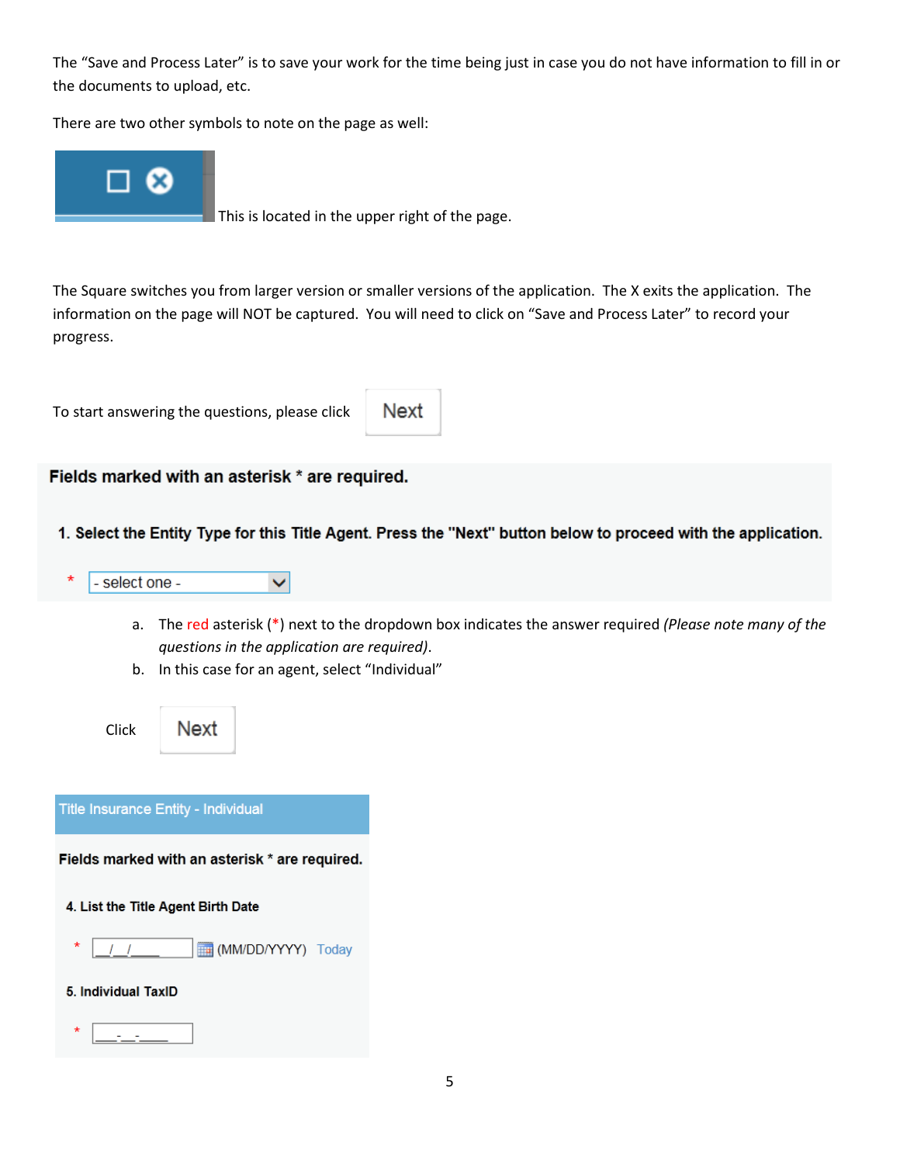The "Save and Process Later" is to save your work for the time being just in case you do not have information to fill in or the documents to upload, etc.

There are two other symbols to note on the page as well:



This is located in the upper right of the page.

The Square switches you from larger version or smaller versions of the application. The X exits the application. The information on the page will NOT be captured. You will need to click on "Save and Process Later" to record your progress.

To start answering the questions, please click

Next

#### Fields marked with an asterisk \* are required.

1. Select the Entity Type for this Title Agent. Press the "Next" button below to proceed with the application.



- a. The red asterisk  $(*)$  next to the dropdown box indicates the answer required (Please note many of the questions in the application are required).
- b. In this case for an agent, select "Individual"



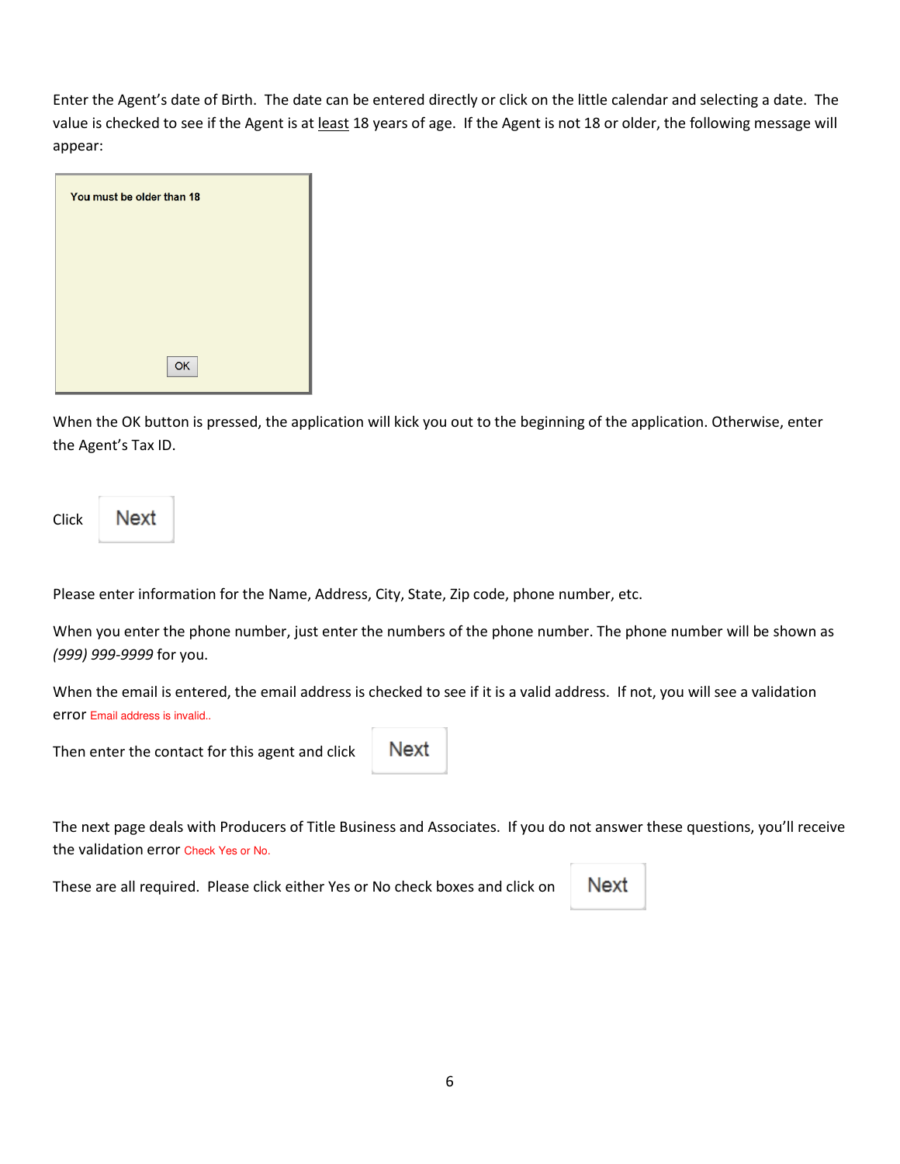Enter the Agent's date of Birth. The date can be entered directly or click on the little calendar and selecting a date. The value is checked to see if the Agent is at least 18 years of age. If the Agent is not 18 or older, the following message will appear:

| You must be older than 18 |
|---------------------------|
|                           |
|                           |
|                           |
| OK                        |

When the OK button is pressed, the application will kick you out to the beginning of the application. Otherwise, enter the Agent's Tax ID.

| Click | Next |
|-------|------|
|       |      |

Please enter information for the Name, Address, City, State, Zip code, phone number, etc.

When you enter the phone number, just enter the numbers of the phone number. The phone number will be shown as (999) 999-9999 for you.

When the email is entered, the email address is checked to see if it is a valid address. If not, you will see a validation error Email address is invalid..

Then enter the contact for this agent and click

Next

The next page deals with Producers of Title Business and Associates. If you do not answer these questions, you'll receive the validation error Check Yes or No.

These are all required. Please click either Yes or No check boxes and click on

Next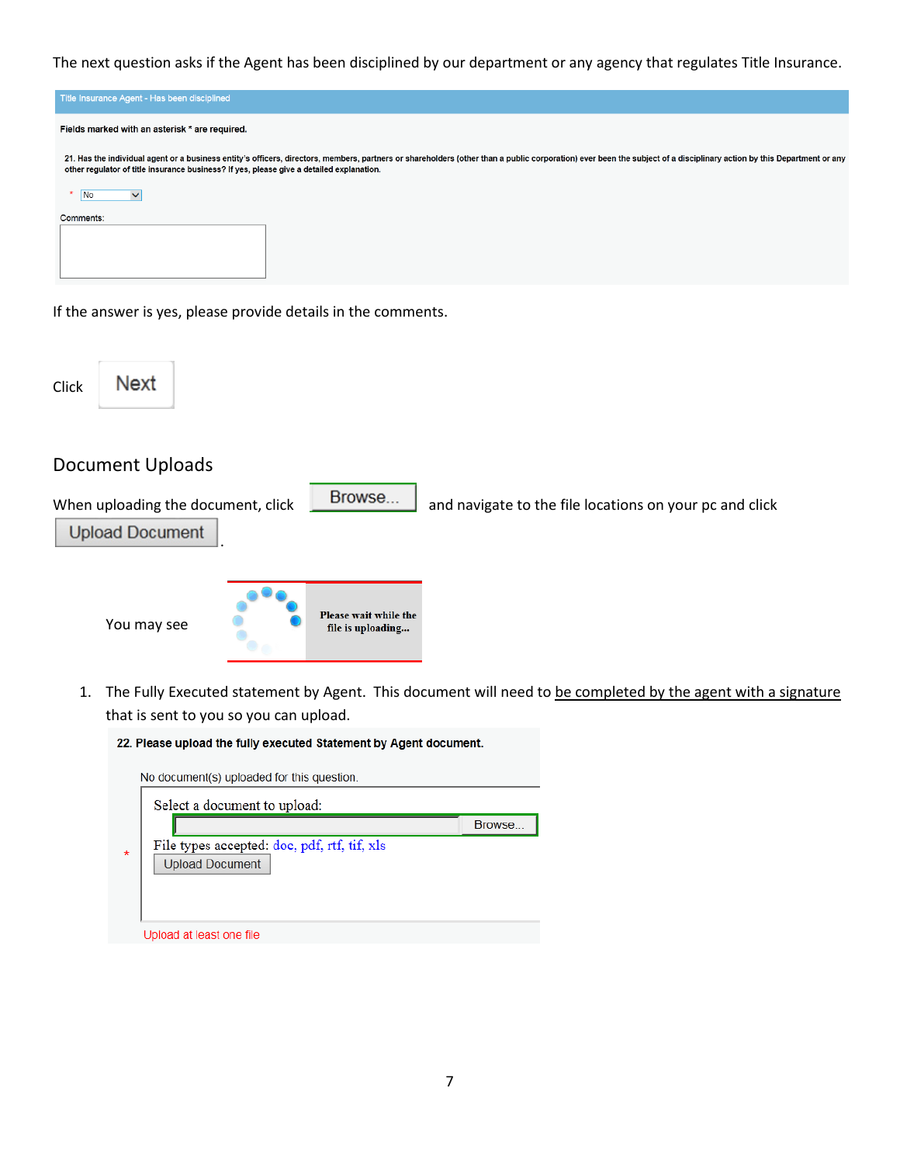The next question asks if the Agent has been disciplined by our department or any agency that regulates Title Insurance.

|                | Title Insurance Agent - Has been disciplined |                                                                                                                                                                                                                                                                                                                   |
|----------------|----------------------------------------------|-------------------------------------------------------------------------------------------------------------------------------------------------------------------------------------------------------------------------------------------------------------------------------------------------------------------|
|                |                                              | Fields marked with an asterisk * are required.                                                                                                                                                                                                                                                                    |
|                |                                              | 21. Has the individual agent or a business entity's officers, directors, members, partners or shareholders (other than a public corporation) ever been the subject of a disciplinary action by this Department or any<br>other regulator of title insurance business? If yes, please give a detailed explanation. |
| N <sub>o</sub> | $\checkmark$                                 |                                                                                                                                                                                                                                                                                                                   |
| Comments:      |                                              |                                                                                                                                                                                                                                                                                                                   |
|                |                                              | If the answer is yes, please provide details in the comments.                                                                                                                                                                                                                                                     |
| Click          | Next                                         |                                                                                                                                                                                                                                                                                                                   |

# Document Uploads

When uploading the document, click  $\begin{array}{|c|c|c|c|c|}\n\hline\n\text{Browse...} & \text{and navigate to the file locations on your pc and click}\n\end{array}$ **Upload Document** . Please wait while the You may see file is uploading...

1. The Fully Executed statement by Agent. This document will need to be completed by the agent with a signature that is sent to you so you can upload.

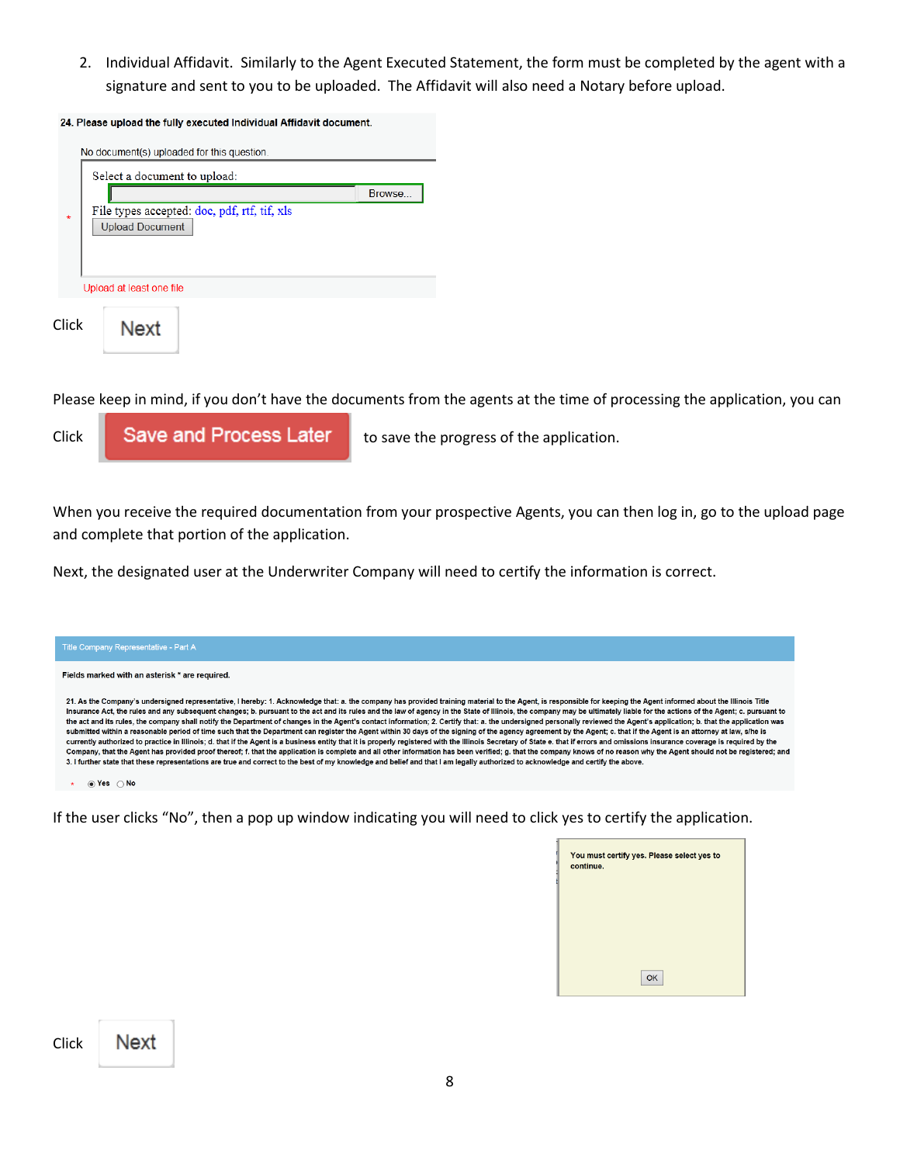2. Individual Affidavit. Similarly to the Agent Executed Statement, the form must be completed by the agent with a signature and sent to you to be uploaded. The Affidavit will also need a Notary before upload.

|         | No document(s) uploaded for this question.<br>Select a document to upload: |         |
|---------|----------------------------------------------------------------------------|---------|
|         |                                                                            | Browse. |
| $\star$ | File types accepted: doc, pdf, rtf, tif, xls<br><b>Upload Document</b>     |         |
|         | Upload at least one file                                                   |         |
| Click   | Next                                                                       |         |

Please keep in mind, if you don't have the documents from the agents at the time of processing the application, you can



When you receive the required documentation from your prospective Agents, you can then log in, go to the upload page and complete that portion of the application.

Next, the designated user at the Underwriter Company will need to certify the information is correct.



If the user clicks "No", then a pop up window indicating you will need to click yes to certify the application.

| You must certify yes. Please select yes to<br>continue. |    |
|---------------------------------------------------------|----|
|                                                         |    |
|                                                         |    |
|                                                         | OK |

| Click | Next |
|-------|------|
|       |      |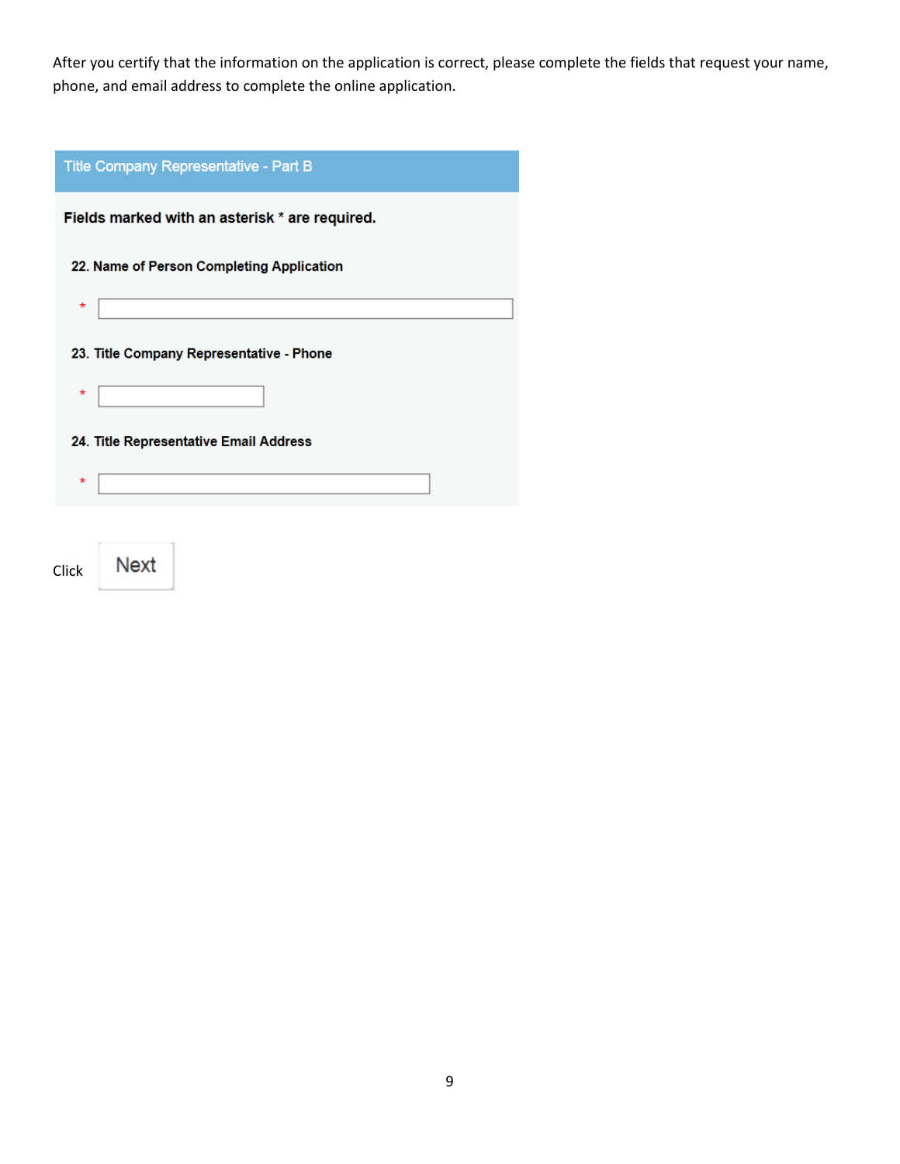After you certify that the information on the application is correct, please complete the fields that request your name, phone, and email address to complete the online application.



Next Click